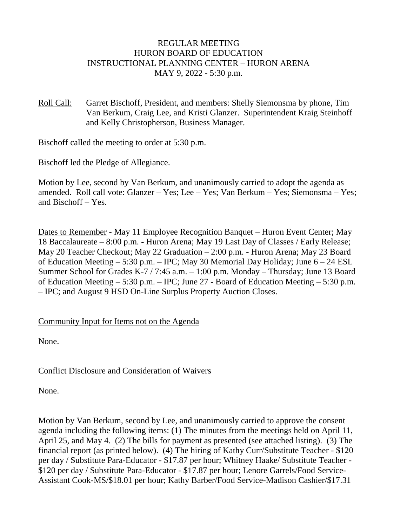## REGULAR MEETING HURON BOARD OF EDUCATION INSTRUCTIONAL PLANNING CENTER – HURON ARENA MAY 9, 2022 - 5:30 p.m.

Roll Call: Garret Bischoff, President, and members: Shelly Siemonsma by phone, Tim Van Berkum, Craig Lee, and Kristi Glanzer. Superintendent Kraig Steinhoff and Kelly Christopherson, Business Manager.

Bischoff called the meeting to order at 5:30 p.m.

Bischoff led the Pledge of Allegiance.

Motion by Lee, second by Van Berkum, and unanimously carried to adopt the agenda as amended. Roll call vote: Glanzer – Yes; Lee – Yes; Van Berkum – Yes; Siemonsma – Yes; and Bischoff – Yes.

Dates to Remember - May 11 Employee Recognition Banquet – Huron Event Center; May 18 Baccalaureate – 8:00 p.m. - Huron Arena; May 19 Last Day of Classes / Early Release; May 20 Teacher Checkout; May 22 Graduation – 2:00 p.m. - Huron Arena; May 23 Board of Education Meeting – 5:30 p.m. – IPC; May 30 Memorial Day Holiday; June 6 – 24 ESL Summer School for Grades K-7 / 7:45 a.m. – 1:00 p.m. Monday – Thursday; June 13 Board of Education Meeting  $-5:30$  p.m.  $-$  IPC; June 27 - Board of Education Meeting  $-5:30$  p.m. – IPC; and August 9 HSD On-Line Surplus Property Auction Closes.

### Community Input for Items not on the Agenda

None.

# Conflict Disclosure and Consideration of Waivers

None.

Motion by Van Berkum, second by Lee, and unanimously carried to approve the consent agenda including the following items: (1) The minutes from the meetings held on April 11, April 25, and May 4. (2) The bills for payment as presented (see attached listing). (3) The financial report (as printed below). (4) The hiring of Kathy Curr/Substitute Teacher - \$120 per day / Substitute Para-Educator - \$17.87 per hour; Whitney Haake/ Substitute Teacher - \$120 per day / Substitute Para-Educator - \$17.87 per hour; Lenore Garrels/Food Service-Assistant Cook-MS/\$18.01 per hour; Kathy Barber/Food Service-Madison Cashier/\$17.31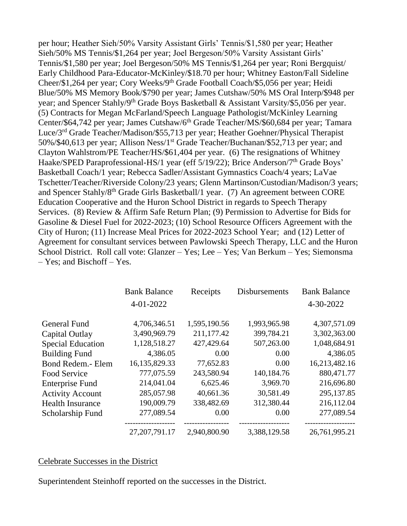per hour; Heather Sieh/50% Varsity Assistant Girls' Tennis/\$1,580 per year; Heather Sieh/50% MS Tennis/\$1,264 per year; Joel Bergeson/50% Varsity Assistant Girls' Tennis/\$1,580 per year; Joel Bergeson/50% MS Tennis/\$1,264 per year; Roni Bergquist/ Early Childhood Para-Educator-McKinley/\$18.70 per hour; Whitney Easton/Fall Sideline Cheer/\$1,264 per year; Cory Weeks/9th Grade Football Coach/\$5,056 per year; Heidi Blue/50% MS Memory Book/\$790 per year; James Cutshaw/50% MS Oral Interp/\$948 per year; and Spencer Stahly/9th Grade Boys Basketball & Assistant Varsity/\$5,056 per year. (5) Contracts for Megan McFarland/Speech Language Pathologist/McKinley Learning Center/\$64,742 per year; James Cutshaw/6<sup>th</sup> Grade Teacher/MS/\$60,684 per year; Tamara Luce/3rd Grade Teacher/Madison/\$55,713 per year; Heather Goehner/Physical Therapist 50%/\$40,613 per year; Allison Ness/1st Grade Teacher/Buchanan/\$52,713 per year; and Clayton Wahlstrom/PE Teacher/HS/\$61,404 per year. (6) The resignations of Whitney Haake/SPED Paraprofessional-HS/1 year (eff 5/19/22); Brice Anderson/7<sup>th</sup> Grade Boys' Basketball Coach/1 year; Rebecca Sadler/Assistant Gymnastics Coach/4 years; LaVae Tschetter/Teacher/Riverside Colony/23 years; Glenn Martinson/Custodian/Madison/3 years; and Spencer Stahly/8th Grade Girls Basketball/1 year. (7) An agreement between CORE Education Cooperative and the Huron School District in regards to Speech Therapy Services. (8) Review & Affirm Safe Return Plan; (9) Permission to Advertise for Bids for Gasoline & Diesel Fuel for 2022-2023; (10) School Resource Officers Agreement with the City of Huron; (11) Increase Meal Prices for 2022-2023 School Year; and (12) Letter of Agreement for consultant services between Pawlowski Speech Therapy, LLC and the Huron School District. Roll call vote: Glanzer – Yes; Lee – Yes; Van Berkum – Yes; Siemonsma – Yes; and Bischoff – Yes.

|                          | <b>Bank Balance</b> | Receipts     | <b>Disbursements</b> | <b>Bank Balance</b> |
|--------------------------|---------------------|--------------|----------------------|---------------------|
|                          | $4 - 01 - 2022$     |              |                      | 4-30-2022           |
| <b>General Fund</b>      | 4,706,346.51        | 1,595,190.56 | 1,993,965.98         | 4,307,571.09        |
| Capital Outlay           | 3,490,969.79        | 211,177.42   | 399,784.21           | 3,302,363.00        |
| <b>Special Education</b> | 1,128,518.27        | 427,429.64   | 507,263.00           | 1,048,684.91        |
| <b>Building Fund</b>     | 4,386.05            | 0.00         | 0.00                 | 4,386.05            |
| Bond Redem.- Elem        | 16,135,829.33       | 77,652.83    | 0.00                 | 16,213,482.16       |
| Food Service             | 777,075.59          | 243,580.94   | 140,184.76           | 880,471.77          |
| <b>Enterprise Fund</b>   | 214,041.04          | 6,625.46     | 3,969.70             | 216,696.80          |
| <b>Activity Account</b>  | 285,057.98          | 40,661.36    | 30,581.49            | 295,137.85          |
| <b>Health Insurance</b>  | 190,009.79          | 338,482.69   | 312,380.44           | 216,112.04          |
| Scholarship Fund         | 277,089.54          | 0.00         | 0.00                 | 277,089.54          |
|                          | 27, 207, 791. 17    | 2,940,800.90 | 3,388,129.58         | 26,761,995.21       |

#### Celebrate Successes in the District

Superintendent Steinhoff reported on the successes in the District.